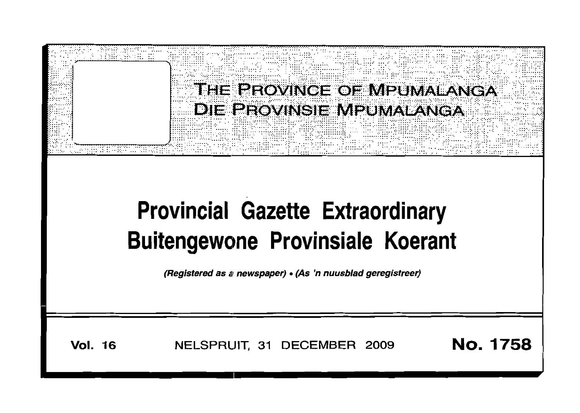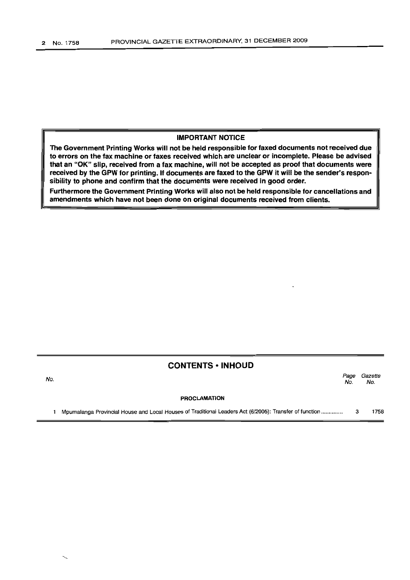### IMPORTANT NOTICE

The Government Printing Works will not be held responsible for faxed documents not received due to errors on the fax machine or faxes received which are unclear or incomplete. Please be advised that an "OK" slip, received from a fax machine, will not be accepted as proof that documents were received by the GPW for printing. If documents are faxed to the GPW it will be the sender's responsibility to phone and confirm that the documents were received in good order.

Furthermore the Government Printing Works will also not be held responsible for cancellations and amendments which have not been done on original documents received from clients.

## CONTENTS • INHOUD

Page Gazette No. No.

#### PROCLAMATION

1 Mpumalanga Provincial House and Local Houses of Traditional Leaders Act (6/2005): Transfer of function ............... 3 1758

No.